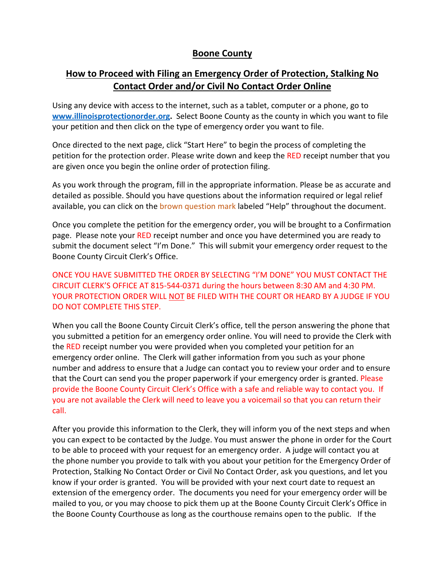## **Boone County**

# **How to Proceed with Filing an Emergency Order of Protection, Stalking No Contact Order and/or Civil No Contact Order Online**

Using any device with access to the internet, such as a tablet, computer or a phone, go to **[www.illinoisprotectionorder.org.](http://www.illinoisprotectionorder.org/)** Select Boone County as the county in which you want to file your petition and then click on the type of emergency order you want to file.

Once directed to the next page, click "Start Here" to begin the process of completing the petition for the protection order. Please write down and keep the RED receipt number that you are given once you begin the online order of protection filing.

As you work through the program, fill in the appropriate information. Please be as accurate and detailed as possible. Should you have questions about the information required or legal relief available, you can click on the brown question mark labeled "Help" throughout the document.

Once you complete the petition for the emergency order, you will be brought to a Confirmation page. Please note your RED receipt number and once you have determined you are ready to submit the document select "I'm Done." This will submit your emergency order request to the Boone County Circuit Clerk's Office.

ONCE YOU HAVE SUBMITTED THE ORDER BY SELECTING "I'M DONE" YOU MUST CONTACT THE CIRCUIT CLERK'S OFFICE AT 815-544-0371 during the hours between 8:30 AM and 4:30 PM. YOUR PROTECTION ORDER WILL NOT BE FILED WITH THE COURT OR HEARD BY A JUDGE IF YOU DO NOT COMPLETE THIS STEP.

When you call the Boone County Circuit Clerk's office, tell the person answering the phone that you submitted a petition for an emergency order online. You will need to provide the Clerk with the RED receipt number you were provided when you completed your petition for an emergency order online. The Clerk will gather information from you such as your phone number and address to ensure that a Judge can contact you to review your order and to ensure that the Court can send you the proper paperwork if your emergency order is granted. Please provide the Boone County Circuit Clerk's Office with a safe and reliable way to contact you. If you are not available the Clerk will need to leave you a voicemail so that you can return their call.

After you provide this information to the Clerk, they will inform you of the next steps and when you can expect to be contacted by the Judge. You must answer the phone in order for the Court to be able to proceed with your request for an emergency order. A judge will contact you at the phone number you provide to talk with you about your petition for the Emergency Order of Protection, Stalking No Contact Order or Civil No Contact Order, ask you questions, and let you know if your order is granted. You will be provided with your next court date to request an extension of the emergency order. The documents you need for your emergency order will be mailed to you, or you may choose to pick them up at the Boone County Circuit Clerk's Office in the Boone County Courthouse as long as the courthouse remains open to the public. If the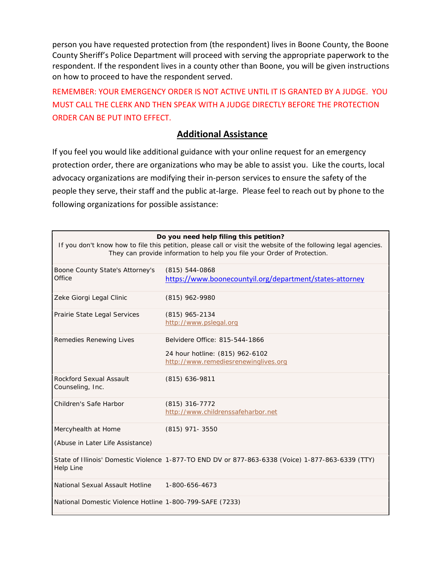person you have requested protection from (the respondent) lives in Boone County, the Boone County Sheriff's Police Department will proceed with serving the appropriate paperwork to the respondent. If the respondent lives in a county other than Boone, you will be given instructions on how to proceed to have the respondent served.

REMEMBER: YOUR EMERGENCY ORDER IS NOT ACTIVE UNTIL IT IS GRANTED BY A JUDGE. YOU MUST CALL THE CLERK AND THEN SPEAK WITH A JUDGE DIRECTLY BEFORE THE PROTECTION ORDER CAN BE PUT INTO EFFECT.

### **Additional Assistance**

If you feel you would like additional guidance with your online request for an emergency protection order, there are organizations who may be able to assist you. Like the courts, local advocacy organizations are modifying their in-person services to ensure the safety of the people they serve, their staff and the public at-large. Please feel to reach out by phone to the following organizations for possible assistance:

| Do you need help filing this petition?<br>If you don't know how to file this petition, please call or visit the website of the following legal agencies.<br>They can provide information to help you file your Order of Protection. |                                                                                                           |
|-------------------------------------------------------------------------------------------------------------------------------------------------------------------------------------------------------------------------------------|-----------------------------------------------------------------------------------------------------------|
| Boone County State's Attorney's<br>Office                                                                                                                                                                                           | $(815)$ 544-0868<br>https://www.boonecountyil.org/department/states-attorney                              |
| Zeke Giorgi Legal Clinic                                                                                                                                                                                                            | (815) 962-9980                                                                                            |
| Prairie State Legal Services                                                                                                                                                                                                        | $(815)$ 965-2134<br>http://www.pslegal.org                                                                |
| Remedies Renewing Lives                                                                                                                                                                                                             | Belvidere Office: 815-544-1866<br>24 hour hotline: (815) 962-6102<br>http://www.remediesrenewinglives.org |
| <b>Rockford Sexual Assault</b><br>Counseling, Inc.                                                                                                                                                                                  | $(815)$ 636-9811                                                                                          |
| Children's Safe Harbor                                                                                                                                                                                                              | $(815)$ 316-7772<br>http://www.childrenssafeharbor.net                                                    |
| Mercyhealth at Home<br>(Abuse in Later Life Assistance)                                                                                                                                                                             | $(815)$ 971- 3550                                                                                         |
| Help Line                                                                                                                                                                                                                           | State of Illinois' Domestic Violence 1-877-TO END DV or 877-863-6338 (Voice) 1-877-863-6339 (TTY)         |
| National Sexual Assault Hotline                                                                                                                                                                                                     | 1-800-656-4673                                                                                            |
| National Domestic Violence Hotline 1-800-799-SAFE (7233)                                                                                                                                                                            |                                                                                                           |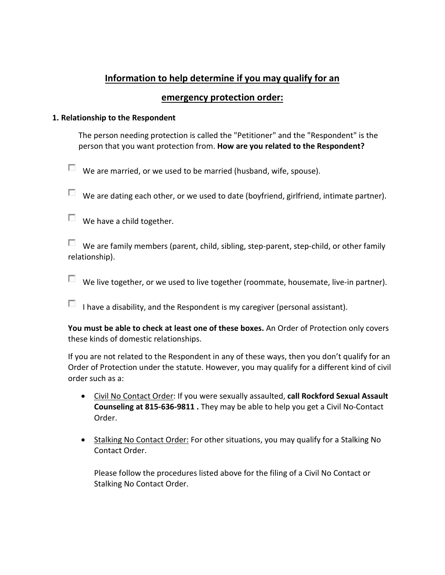## **Information to help determine if you may qualify for an**

## **emergency protection order:**

### **1. Relationship to the Respondent**

The person needing protection is called the "Petitioner" and the "Respondent" is the person that you want protection from. **How are you related to the Respondent?**

 $\Box$  We are married, or we used to be married (husband, wife, spouse).

 $\Box$  We are dating each other, or we used to date (boyfriend, girlfriend, intimate partner).

We have a child together.

 $\Box$  We are family members (parent, child, sibling, step-parent, step-child, or other family relationship).

 $\Box$  We live together, or we used to live together (roommate, housemate, live-in partner).

I have a disability, and the Respondent is my caregiver (personal assistant).

**You must be able to check at least one of these boxes.** An Order of Protection only covers these kinds of domestic relationships.

If you are not related to the Respondent in any of these ways, then you don't qualify for an Order of Protection under the statute. However, you may qualify for a different kind of civil order such as a:

- Civil No Contact Order: If you were sexually assaulted, **call Rockford Sexual Assault Counseling at 815-636-9811 .** They may be able to help you get a Civil No-Contact Order.
- Stalking No Contact Order: For other situations, you may qualify for a Stalking No Contact Order.

Please follow the procedures listed above for the filing of a Civil No Contact or Stalking No Contact Order.